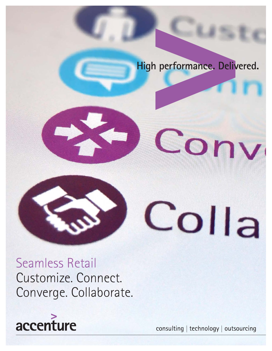## High performance. Delivered.



Seamless Retail Customize. Connect. Converge. Collaborate.



consulting | technology | outsourcing

Colla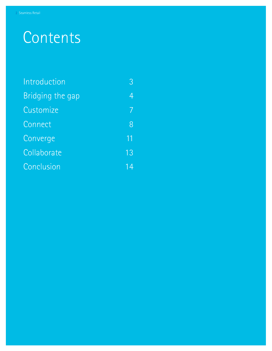# **Contents**

| Introduction     | 3  |
|------------------|----|
| Bridging the gap | 4  |
| Customize        | 7  |
| Connect          | 8  |
| Converge         | 11 |
| Collaborate      | 13 |
| Conclusion       | 4  |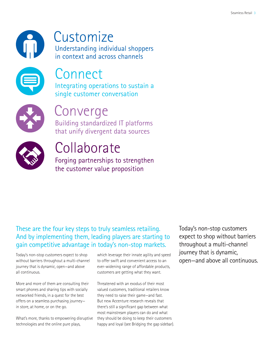

# Customize

Understanding individual shoppers in context and across channels



# **Connect**

Integrating operations to sustain a single customer conversation



## Converge

Building standardized IT platforms that unify divergent data sources



# Collaborate

Forging partnerships to strengthen the customer value proposition

### These are the four key steps to truly seamless retailing. And by implementing them, leading players are starting to gain competitive advantage in today's non-stop markets.

Today's non-stop customers expect to shop without barriers throughout a multi-channel journey that is dynamic, open—and above all continuous.

More and more of them are consulting their smart phones and sharing tips with socially networked friends, in a quest for the best offers on a seamless purchasing journey in store, at home, or on the go.

What's more, thanks to empowering disruptive technologies and the online pure plays,

which leverage their innate agility and speed to offer swift and convenient access to an ever-widening range of affordable products, customers are getting what they want.

Threatened with an exodus of their most valued customers, traditional retailers know they need to raise their game—and fast. But new Accenture research reveals that there's still a significant gap between what most mainstream players can do and what they should be doing to keep their customers happy and loyal (see Bridging the gap sidebar).

Today's non-stop customers expect to shop without barriers throughout a multi-channel journey that is dynamic, open—and above all continuous.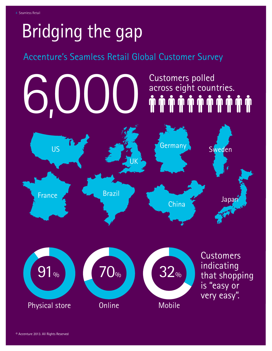# Bridging the gap

## Accenture's Seamless Retail Global Customer Survey

# Customers polled<br>across eight countries. across eight countries. 6,000 US UK France Germany Sweden China Brazil Japar



**Customers** indicating that shopping is "easy or very easy".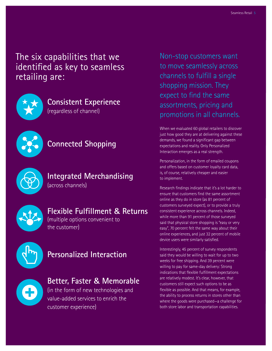The six capabilities that we identified as key to seamless retailing are:



## **Consistent Experience**

(regardless of channel)



## **Connected Shopping**



#### **Integrated Merchandising**  (across channels)

### **Flexible Fulfillment & Returns**

(multiple options convenient to the customer)



### **Personalized Interaction**

## **Better, Faster & Memorable**

(in the form of new technologies and value-added services to enrich the customer experience)

Non-stop customers want to move seamlessly across channels to fulfill a single shopping mission. They expect to find the same assortments, pricing and promotions in all channels.

When we evaluated 60 global retailers to discover just how good they are at delivering against these demands, we found a significant gap between expectations and reality. Only Personalized Interaction emerges as a real strength.

Personalization, in the form of emailed coupons and offers based on customer loyalty card data, is, of course, relatively cheaper and easier to implement.

Research findings indicate that it's a lot harder to ensure that customers find the same assortment online as they do in store (as 81 percent of customers surveyed expect), or to provide a truly consistent experience across channels. Indeed, while more than 91 percent of those surveyed said that physical store shopping is "easy or very easy", 70 percent felt the same way about their online experiences, and just 32 percent of mobile device users were similarly satisfied.

Interestingly, 45 percent of survey respondents said they would be willing to wait for up to two weeks for free shipping. And 39 percent were willing to pay for same-day delivery: Strong indications that flexible fulfillment expectations are relatively modest. It's clear, however, that customers still expect such options to be as flexible as possible. And that means, for example, the ability to process returns in stores other than where the goods were purchased—a challenge for both store labor and transportation capabilities.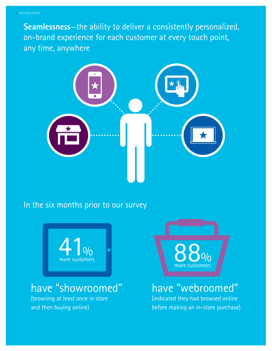**Seamlessness**—the ability to deliver a consistently personalized, on-brand experience for each customer at every touch point, any time, anywhere



### In the six months prior to our survey



## have "showroomed"

(browsing at least once in store and then buying online)



## have "webroomed"

(indicated they had browsed online before making an in-store purchase)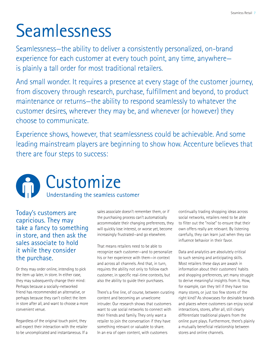# Seamlessness

Seamlessness—the ability to deliver a consistently personalized, on-brand experience for each customer at every touch point, any time, anywhere is plainly a tall order for most traditional retailers.

And small wonder. It requires a presence at every stage of the customer journey, from discovery through research, purchase, fulfillment and beyond, to product maintenance or returns—the ability to respond seamlessly to whatever the customer desires, wherever they may be, and whenever (or however) they choose to communicate.

Experience shows, however, that seamlessness could be achievable. And some leading mainstream players are beginning to show how. Accenture believes that there are four steps to success:



Today's customers are capricious. They may take a fancy to something in store, and then ask the sales associate to hold it while they consider the purchase.

Or they may order online, intending to pick the item up later, in store. In either case, they may subsequently change their mind: Perhaps because a socially-networked friend has recommended an alternative, or perhaps because they can't collect the item in store after all, and want to choose a more convenient venue.

Regardless of the original touch point, they will expect their interaction with the retailer to be uncomplicated and instantaneous. If a sales associate doesn't remember them, or if the purchasing process can't automatically accommodate their changing preferences, they will quickly lose interest, or worse yet, become increasingly frustrated—and go elsewhere.

That means retailers need to be able to recognize each customer—and to personalize his or her experience with them—in context and across all channels. And that, in turn, requires the ability not only to follow each customer, in specific real-time contexts, but also the ability to guide their purchases.

There's a fine line, of course, between curating content and becoming an unwelcome intruder. Our research shows that customers want to use social networks to connect with their friends and family. They only want a retailer to join the conversation if they have something relevant or valuable to share. In an era of open content, with customers

continually trading shopping ideas across social networks, retailers need to be able to filter out the "noise" to ensure that their own offers really are relevant. By listening carefully, they can learn just when they can influence behavior in their favor.

Data and analytics are absolutely critical to such sensing and anticipating skills. Most retailers these days are awash in information about their customers' habits and shopping preferences, yet many struggle to derive meaningful insights from it. How, for example, can they tell if they have too many stores, or just too few stores of the right kind? As showcases for desirable brands and places where customers can enjoy social interactions, stores, after all, still clearly differentiate traditional players from the online pure plays. Furthermore, there's plainly a mutually beneficial relationship between stores and online channels.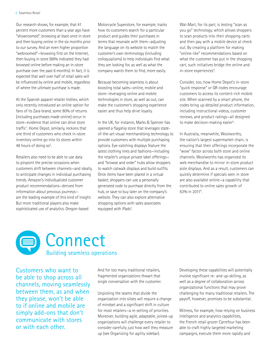#### 8 Seamless Retail

Our research shows, for example, that 41 percent more customers than a year ago have "showroomed", browsing at least once in store and then buying online in the six months prior to our survey. And an even higher proportion "webroomed"—browsing first on the Internet, then buying in store (88% indicated they had browsed online before making an in-store purchase over the past 6 months). In fact, it is expected that well over half of retail sales will be influenced by online and mobile, regardless of where the ultimate purchase is made.

At the Spanish apparel retailer Inditex, which only recently introduced an online option for fans of its Zara brand, some 80% of returns (including purchases made online) occur in store—evidence that online can drive store traffic<sup>1</sup>. Home Depot, similarly, reckons that one third of customers who check in-store inventory online go into its stores within 48 hours of doing so<sup>2</sup>. .

Retailers also need to be able to use data to pinpoint the precise occasions when customers shift between channels—and ideally, to anticipate changes in individual purchasing trends. Amazon's individualized customer product recommendations—derived from information about previous journeys are the leading example of this kind of insight. But more traditional players also make sophisticated use of analytics. Oregon-based

Motorcycle Superstore, for example, tracks how its customers search for a particular product and guides their purchases in terms that resonate with them—adjusting the language on its website to match the customer's own terminology (including colloquialisms) to help individuals find what they are looking for, as well as what the company wants them to find, more easily.

Because becoming seamless is about boosting total sales—online, mobile and store—leveraging online and mobile technologies in store, as well as out, can make the customer's shopping experience easier and thus help drive loyalty.

In the UK, for instance, Marks & Spencer has opened a flagship store that leverages stateof-the-art visual merchandising technology to provide customers with multiple purchasing options. Eye-catching displays feature the latest clothing lines and fashions—including the retailer's unique private label offerings and "browse and order" hubs allow shoppers to watch catwalk displays and build outfits. Once items have been placed in a virtual basket, shoppers can use a personally generated code to purchase directly from the hub, or save to buy later on the company's website. They can also explore alternative shopping options with sales associates equipped with iPads<sup>3</sup>. .

Wal-Mart, for its part, is testing "scan as you go" technology, which allows shoppers to scan products into their shopping carts and then pay with a mobile device at check out. By creating a platform for making "online-like" recommendations based on what the customer has put in the shopping cart, such initiatives bridge the online and in-store experiences<sup>4</sup>.

Consider, too, how Home Depot's in-store "quick response" or QR codes encourage customers to access its content-rich mobile site. When scanned by a smart phone, the codes bring up detailed product information, including instructional videos, customer reviews, and product ratings—all designed to make decision-making easier<sup>5</sup>.

In Australia, meanwhile, Woolworths, the nation's largest supermarket chain, is ensuring that their offerings incorporate the "wow" factor across both store and online channels. Woolworths has organized its web merchandise to mirror in-store product aisle displays. And as a result, customers can quickly determine if specials seen in store are also available online—a capability that contributed to online sales growth of 63% in 2011<sup>6</sup>.



Customers who want to be able to shop across all channels, moving seamlessly between them, as and when they please, won't be able to if online and mobile are simply add-ons that don't communicate with stores or with each other.

And for too many traditional retailers, fragmented organizations thwart that single conversation with the customer.

Unpicking the seams that divide the organization into siloes will require a change of mindset and a significant shift in culture for most retailers—a re-setting of priorities. Moreover, building agile, adaptable, joined-up organizations will challenge every retailer to consider carefully just how well they measure up (see Organizing for agility sidebar).

Developing these capabilities will potentially involve significant re- and up-skilling, as well as a degree of collaboration across organizational functions that may prove challenging for many traditional retailers. The payoff, however, promises to be substantial.

Witness, for example, how relying on business intelligence and analytics capabilities, the French retail grocer Carrefour has been able to craft highly targeted marketing campaigns, execute them more rapidly and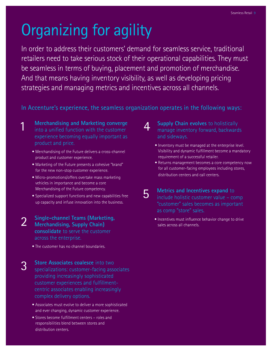# Organizing for agility

In order to address their customers' demand for seamless service, traditional retailers need to take serious stock of their operational capabilities. They must be seamless in terms of buying, placement and promotion of merchandise. And that means having inventory visibility, as well as developing pricing strategies and managing metrics and incentives across all channels.

In Accenture's experience, the seamless organization operates in the following ways:

**Merchandising and Marketing converge**  into a unified function with the customer experience becoming equally important as product and price.

1

- Merchandising of the Future delivers a cross-channel product and customer experience.
- Marketing of the Future presents a cohesive "brand" for the new non-stop customer experience.
- Micro-promotions/offers overtake mass marketing vehicles in importance and become a core Merchandising of the Future competency.
- Specialized support functions and new capabilities free up capacity and infuse innovation into the business.
- **Single-channel Teams (Marketing, Merchandising, Supply Chain) consolidate** to serve the customer across the enterprise. 2
	- The customer has no channel boundaries.
- **Store Associates coalesce** into two specializations: customer-facing associates providing increasingly sophisticated customer experiences and fulfillmentcentric associates enabling increasingly complex delivery options. 3
	- Associates must evolve to deliver a more sophisticated and ever changing, dynamic customer experience.
	- Stores become fulfillment centers roles and responsibilities blend between stores and distribution centers.
- **Supply Chain evolves** to holistically manage inventory forward, backwards and sideways.  $\boldsymbol{\varLambda}$ 
	- Inventory must be managed at the enterprise level. Visibility and dynamic fulfillment become a mandatory requirement of a successful retailer.
	- Returns management becomes a core competency now for all customer-facing employees including stores, distribution centers and call centers.
- **Metrics and Incentives expand** to include holistic customer value – comp "customer" sales becomes as important as comp "store" sales. 5
	- Incentives must influence behavior change to drive sales across all channels.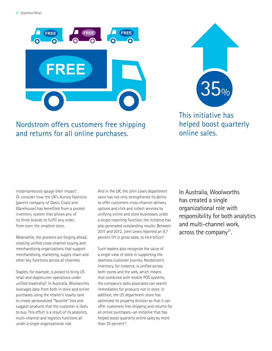

### Nordstrom offers customers free shipping and returns for all online purchases.

35%

This initiative has helped boost quarterly online sales.

instantaneously gauge their impact<sup>7</sup>. Or consider how the UK's Aurora Fashions (parent company of Oasis, Coast and Warehouse) has benefited from a pooled inventory system that allows any of its three brands to fulfill any order, from even the smallest store.

Meanwhile, the pioneers are forging ahead, creating unified cross-channel buying and merchandising organizations that support merchandising, marketing, supply chain and other key functions across all channels.

Staples, for example, is poised to bring US retail and staples.com operations under unified leadership<sup>8</sup>. In Australia, Woolworths leverages data from both in store and online purchases using the retailer's loyalty card to create personalized "favorite" lists and suggest products that the customer is likely to buy. This effort is a result of its analytics, multi-channel and logistics functions all under a single organizational role.

And in the UK, the John Lewis department store has not only strengthened its ability to offer customers cross-channel delivery options and click and collect services by unifying online and store businesses under a single reporting function, the initiative has also generated outstanding results: Between 2011 and 2012, John Lewis reported an 8.7 percent lift in gross sales, to £4.4 billion<sup>9</sup>. .

Such leaders also recognize the value of a single view of stock in supporting the seamless customer journey. Nordstrom's inventory, for instance, is unified across both stores and the web, which means that combined with mobile POS systems, the company's sales associates can search immediately for products not in store. In addition, the US department store has optimized its property division so that it can offer customers free shipping and returns for all online purchases—an initiative that has helped boost quarterly online sales by more than 35 percent<sup>10</sup>.

In Australia, Woolworths has created a single organizational role with responsibility for both analytics and multi-channel work, across the company<sup>11</sup>.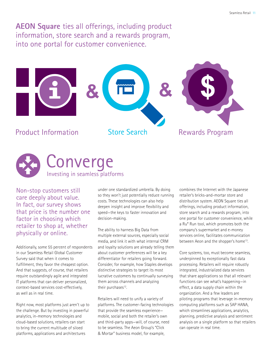**AEON Square** ties all offerings, including product information, store search and a rewards program, into one portal for customer convenience.





Non-stop customers still care deeply about value. In fact, our survey shows that price is the number one factor in choosing which retailer to shop at, whether physically or online.

Additionally, some 55 percent of respondents in our Seamless Retail Global Customer Survey said that when it comes to fulfillment, they favor the cheapest option. And that suggests, of course, that retailers require outstandingly agile and integrated IT platforms that can deliver personalized, context-based services cost-effectively, as well as in real time.

Right now, most platforms just aren't up to the challenge. But by investing in powerful analytics, in-memory technologies and cloud-based solutions, retailers can start to bring the current multitude of siloed platforms, applications and architectures

under one standardized umbrella. By doing so they won't just potentially reduce running costs. These technologies can also help deepen insight and improve flexibility and speed—the keys to faster innovation and decision-making.

The ability to harness Big Data from multiple external sources, especially social media, and link it with what internal CRM and loyalty solutions are already telling them about customer preferences will be a key differentiator for retailers going forward. Consider, for example, how Staples develops distinctive strategies to target its most lucrative customers by continually surveying them across channels and analyzing their purchases<sup>12</sup>.

Retailers will need to unify a variety of platforms. The customer-facing technologies that provide the seamless experience mobile, social and both the retailer's own and third-party apps—will, of course, need to be seamless. The Aeon Group's "Click & Mortar" business model, for example,

combines the Internet with the Japanese retailer's bricks-and-mortar store and distribution system. AEON Square ties all offerings, including product information, store search and a rewards program, into one portal for customer convenience, while a Ru\* Run tool, which promotes both the company's supermarket and e-money services online, facilitates communication between Aeon and the shopper's home<sup>13</sup>.

Core systems, too, must become seamless, underpinned by exceptionally fast data processing. Retailers will require robustly integrated, industrialized data services that share applications so that all relevant functions can see what's happening—in effect, a data supply chain within the organization. And a few leaders are piloting programs that leverage in-memory computing platforms such as SAP HANA, which streamlines applications, analytics, planning, predictive analysis and sentiment analysis on a single platform so that retailers can operate in real time.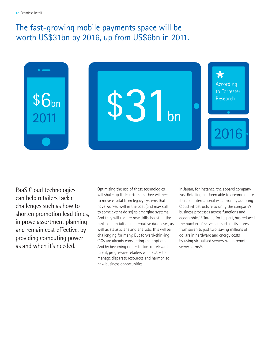### The fast-growing mobile payments space will be worth US\$31bn by 2016, up from US\$6bn in 2011.



PaaS Cloud technologies can help retailers tackle challenges such as how to shorten promotion lead times, improve assortment planning and remain cost effective, by providing computing power as and when it's needed.

Optimizing the use of these technologies will shake up IT departments. They will need to move capital from legacy systems that have worked well in the past (and may still to some extent do so) to emerging systems. And they will require new skills, boosting the ranks of specialists in alternative databases, as well as statisticians and analysts. This will be challenging for many. But forward-thinking CIOs are already considering their options. And by becoming orchestrators of relevant talent, progressive retailers will be able to manage disparate resources and harmonize new business opportunities.

In Japan, for instance, the apparel company Fast Retailing has been able to accommodate its rapid international expansion by adopting Cloud infrastructure to unify the company's business processes across functions and geographies14. Target, for its part, has reduced the number of servers in each of its stores from seven to just two, saving millions of dollars in hardware and energy costs, by using virtualized servers run in remote server farms<sup>15</sup>.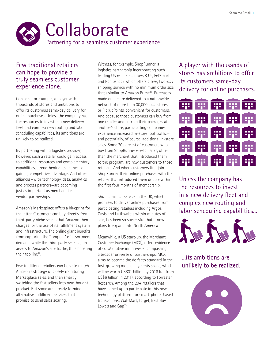

#### Few traditional retailers can hope to provide a truly seamless customer experience alone.

Consider, for example, a player with thousands of stores and ambitions to offer its customers same-day delivery for online purchases. Unless the company has the resources to invest in a new delivery fleet and complex new routing and labor scheduling capabilities, its ambitions are unlikely to be realized.

By partnering with a logistics provider, however, such a retailer could gain access to additional resources and complementary capabilities, strengthening its chances of gaining competitive advantage. And other alliances—with technology, data, analytics and process partners—are becoming just as important as merchandise vendor partnerships.

Amazon's Marketplace offers a blueprint for the latter. Customers can buy directly from third-party niche sellers that Amazon then charges for the use of its fulfillment system and infrastructure. The online giant benefits from capturing the "long tail" of assortment demand, while the third-party sellers gain access to Amazon's site traffic, thus boosting their top line<sup>16</sup>.

Few traditional retailers can hope to match Amazon's strategy of closely monitoring Marketplace sales, and then smartly switching the fast sellers into own-bought product. But some are already forming alternative fulfillment services that promise to send sales soaring.

Witness, for example, ShopRunner, a logistics partnership incorporating such leading US retailers as Toys R Us, PetSmart and Radioshack which offers a free, two-day shipping service with no minimum order size that's similar to Amazon Prime17. Purchases made online are delivered to a nationwide network of more than 30,000 local stores, or PickupPoints, convenient for customers. And because those customers can buy from one retailer and pick up their packages at another's store, participating companies experience increased in-store foot traffic and potentially, of course, additional in-store sales. Some 70 percent of customers who buy from ShopRunner e-retail sites, other than the merchant that introduced them to the program, are new customers to those retailers. And when customers first join ShopRunner their online purchases with the retailer that introduced them double within the first four months of membership.

Shutl, a similar service in the UK, which promises to deliver online purchases from participating retailers including Argos, Oasis and Laithwaites within minutes of sale, has been so successful that it now plans to expand into North America<sup>18</sup>.

Meanwhile, a US start-up, the Merchant Customer Exchange (MCX), offers evidence of collaborative initiatives encompassing a broader universe of partnerships. MCX aims to become the de facto standard in the fast-growing mobile payments space, which will be worth US\$31 billion by 2016 (up from US\$6 billion in 2011), according to Forrester Research. Among the 20+ retailers that have signed up to participate in this new technology platform for smart-phone-based transactions: Wal-Mart, Target, Best Buy, Lowe's and Gap<sup>19</sup>.

A player with thousands of stores has ambitions to offer its customers same-day delivery for online purchases.



Unless the company has the resources to invest in a new delivery fleet and complex new routing and labor scheduling capabilities...



...its ambitions are unlikely to be realized.

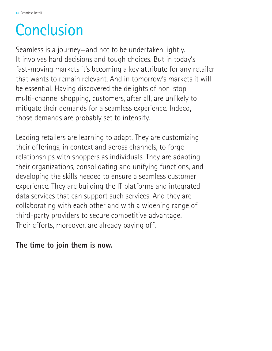# **Conclusion**

Seamless is a journey—and not to be undertaken lightly. It involves hard decisions and tough choices. But in today's fast-moving markets it's becoming a key attribute for any retailer that wants to remain relevant. And in tomorrow's markets it will be essential. Having discovered the delights of non-stop, multi-channel shopping, customers, after all, are unlikely to mitigate their demands for a seamless experience. Indeed, those demands are probably set to intensify.

Leading retailers are learning to adapt. They are customizing their offerings, in context and across channels, to forge relationships with shoppers as individuals. They are adapting their organizations, consolidating and unifying functions, and developing the skills needed to ensure a seamless customer experience. They are building the IT platforms and integrated data services that can support such services. And they are collaborating with each other and with a widening range of third-party providers to secure competitive advantage. Their efforts, moreover, are already paying off.

### **The time to join them is now.**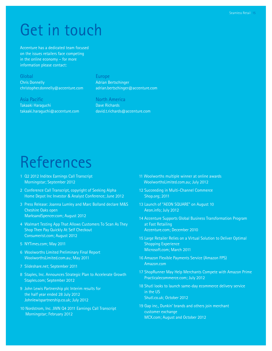# Get in touch

Accenture has a dedicated team focused on the issues retailers face competing in the online economy – for more information please contact:

#### Global

Chris Donnelly [christopher.donnelly@accenture.com](mailto: christopher.donnelly@accenture.com) 

#### Asia Pacific

Takaaki Haraguchi [takaaki.haraguchi@accenture.com](mailto: takaaki.haraguchi@accenture.com)

#### **Europe**

Adrian Bertschinger [adrian.bertschinger@accenture.com](mailto: adrian.bertschinger@accenture.com)

#### North America

Dave Richards [david.t.richards@accenture.com](mailto: david.t.richards@accenture.com)

# References

- 1 [Q2 2012 Inditex Earnings Call Transcript](http://www.morningstar.com/earnings/PrintTranscript.aspx?id=43331893)  [Morningstar; September 2012](http://www.morningstar.com/earnings/PrintTranscript.aspx?id=43331893)
- 2 Conference Call Transcript, copyright of Seeking Alpha Home Depot Inc Investor & Analyst Conference; June 2012
- 3 [Press Release: Joanna Lumley and Marc Bolland declare M&S](http://corporate.marksandspencer.com/investors/press_releases/joanna_lumley_and_marc_bolland_declare_cheshire_oaks_open)  [Cheshire Oaks open](http://corporate.marksandspencer.com/investors/press_releases/joanna_lumley_and_marc_bolland_declare_cheshire_oaks_open) [MarksandSpencer.com; August 2012](http://corporate.marksandspencer.com/investors/press_releases/joanna_lumley_and_marc_bolland_declare_cheshire_oaks_open)
- [4 Walmart Testing App That Allows Customers To Scan As They](http://consumerist.com/2012/09/04/walmart-testing-app-that-would-allow-customers-to-scan-as-they-shop/)  [Shop Then Pay Quickly At Self Checkout](http://consumerist.com/2012/09/04/walmart-testing-app-that-would-allow-customers-to-scan-as-they-shop/) [Consumerist.com; August 2012](http://consumerist.com/2012/09/04/walmart-testing-app-that-would-allow-customers-to-scan-as-they-shop/)
- 5 [NYTimes.com; May 2011](http://www.nytimes.com/2011/05/06/business/media/06adco.html?_r=0)
- 6 [Woolworths Limited Preliminary Final Report](http://www.woolworthslimited.com.au/icms_docs/128848_Full_Year_Results_for_FY11.pdf)  [WoolworthsLimited.com.au; May 2011](http://www.woolworthslimited.com.au/icms_docs/128848_Full_Year_Results_for_FY11.pdf)
- 7 Slideshare.net; September 2011
- 8 [Staples, Inc. Announces Strategic Plan to Accelerate Growth](http://investor.staples.com/phoenix.zhtml?c=96244&p=irol-newsArticle&ID=1737980&highlight=) [Staples.com; September 2012](http://investor.staples.com/phoenix.zhtml?c=96244&p=irol-newsArticle&ID=1737980&highlight=)
- 9 [John Lewis Partnership plc Interim results for](http://www.johnlewispartnership.co.uk/media/press/y2012/press-release-13-september-2012-john-lewis-partnership-plc-interim-results-for-the-half-year-ended-28-july-2012.html)  [the half year ended 28 July 2012](http://www.johnlewispartnership.co.uk/media/press/y2012/press-release-13-september-2012-john-lewis-partnership-plc-interim-results-for-the-half-year-ended-28-july-2012.html) [Johnlewispartnership.co.uk; July 2012](http://www.johnlewispartnership.co.uk/media/press/y2012/press-release-13-september-2012-john-lewis-partnership-plc-interim-results-for-the-half-year-ended-28-july-2012.html)
- 10 [Nordstrom, Inc. JWN Q4 2011 Earnings Call Transcript](http://www.morningstar.com/earnings/35501710-nordstrom-inc-q4-2011.aspx) [Morningstar; February 2012](http://www.morningstar.com/earnings/35501710-nordstrom-inc-q4-2011.aspx)
- 1[1 Woolworths multiple winner at online awards](http://www.woolworthslimited.com.au/icms_docs/128848_Full_Year_Results_for_FY11.pdf)  [WoolworthsLimited.com.au; July 2012](http://www.woolworthslimited.com.au/icms_docs/128848_Full_Year_Results_for_FY11.pdf)
- 12 [Succeeding in Multi-Channel Commerce](http://www.shop.org/c/document_library/get_file?folderId=164&name=DLFE-934.pdf) [Shop.org; 2011](http://www.shop.org/c/document_library/get_file?folderId=164&name=DLFE-934.pdf)
- 13 [Launch of "AEON SQUARE" on August 10](http://www.aeon.info/export/sites/renewal/common/images/en/pressroom/imgsrc/120725R_1.pdf) [Aeon.info; July 2012](http://www.aeon.info/export/sites/renewal/common/images/en/pressroom/imgsrc/120725R_1.pdf)
- 14 [Accenture Supports Global Business Transformation Program](http://newsroom.accenture.com/article_print.cfm?article_id=5122)  [at Fast Retailing](http://newsroom.accenture.com/article_print.cfm?article_id=5122) [Accenture.com; December 2010](http://newsroom.accenture.com/article_print.cfm?article_id=5122)
- 15 [Large Retailer Relies on a Virtual Solution to Deliver Optimal](http://www.microsoft.com/casestudies/Case_Study_Detail.aspx?casestudyid=4000009407) [Shopping Experience](http://www.microsoft.com/casestudies/Case_Study_Detail.aspx?casestudyid=4000009407) [Microsoft.com; March 2011](http://www.microsoft.com/casestudies/Case_Study_Detail.aspx?casestudyid=4000009407)
- 16 [Amazon Flexible Payments Service \(Amazon FPS\)](https://payments.amazon.com/sdui/sdui/business?sn=devfps/o) [Amazon.com](https://payments.amazon.com/sdui/sdui/business?sn=devfps/o)
- 17 [ShopRunner May Help Merchants Compete with Amazon Prime](http://www.practicalecommerce.com/articles/3647-ShopRunner-May-Help-Merchants-Compete-with-Amazon-Prime) [Practicalecommerce.com; July 2012](http://www.practicalecommerce.com/articles/3647-ShopRunner-May-Help-Merchants-Compete-with-Amazon-Prime)
- 18 [Shutl looks to launch same-day ecommerce delivery service](http://www.shutl.co.uk) [in the US](http://www.shutl.co.uk) [Shutl.co.uk; October 2012](http://www.shutl.co.uk)
- 19 [Gap inc., Dunkin' brands and others join merchant](http://www.mcx.com/images/MCX-2-Press-Releases.pdf) [customer exchange](http://www.mcx.com/images/MCX-2-Press-Releases.pdf) [MCX.com; August and October 2012](http://www.mcx.com/images/MCX-2-Press-Releases.pdf)